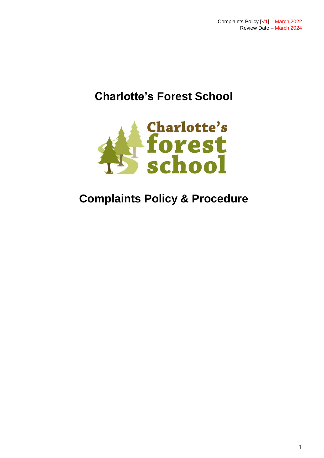# **Charlotte's Forest School**



# **Complaints Policy & Procedure**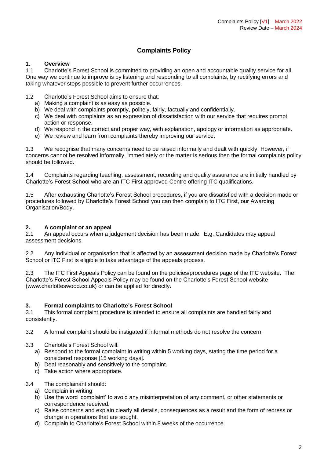### **Complaints Policy**

#### **1. Overview**

1.1 Charlotte's Forest School is committed to providing an open and accountable quality service for all. One way we continue to improve is by listening and responding to all complaints, by rectifying errors and taking whatever steps possible to prevent further occurrences.

1.2 Charlotte's Forest School aims to ensure that:

- a) Making a complaint is as easy as possible.
- b) We deal with complaints promptly, politely, fairly, factually and confidentially.
- c) We deal with complaints as an expression of dissatisfaction with our service that requires prompt action or response.
- d) We respond in the correct and proper way, with explanation, apology or information as appropriate.
- e) We review and learn from complaints thereby improving our service.

1.3 We recognise that many concerns need to be raised informally and dealt with quickly. However, if concerns cannot be resolved informally, immediately or the matter is serious then the formal complaints policy should be followed.

1.4 Complaints regarding teaching, assessment, recording and quality assurance are initially handled by Charlotte's Forest School who are an ITC First approved Centre offering ITC qualifications.

1.5 After exhausting Charlotte's Forest School procedures, if you are dissatisfied with a decision made or procedures followed by Charlotte's Forest School you can then complain to ITC First, our Awarding Organisation/Body.

#### **2. A complaint or an appeal**

2.1 An appeal occurs when a judgement decision has been made. E.g. Candidates may appeal assessment decisions.

2.2 Any individual or organisation that is affected by an assessment decision made by Charlotte's Forest School or ITC First is eligible to take advantage of the appeals process.

2.3 The ITC First Appeals Policy can be found on the policies/procedures page of the ITC website. The Charlotte's Forest School Appeals Policy may be found on the Charlotte's Forest School website (www.charlotteswood.co.uk) or can be applied for directly.

#### **3. Formal complaints to Charlotte's Forest School**

3.1 This formal complaint procedure is intended to ensure all complaints are handled fairly and consistently.

3.2 A formal complaint should be instigated if informal methods do not resolve the concern.

#### 3.3 Charlotte's Forest School will:

- a) Respond to the formal complaint in writing within 5 working days, stating the time period for a considered response [15 working days].
- b) Deal reasonably and sensitively to the complaint.
- c) Take action where appropriate.

#### 3.4 The complainant should:

- a) Complain in writing
- b) Use the word 'complaint' to avoid any misinterpretation of any comment, or other statements or correspondence received.
- c) Raise concerns and explain clearly all details, consequences as a result and the form of redress or change in operations that are sought.
- d) Complain to Charlotte's Forest School within 8 weeks of the occurrence.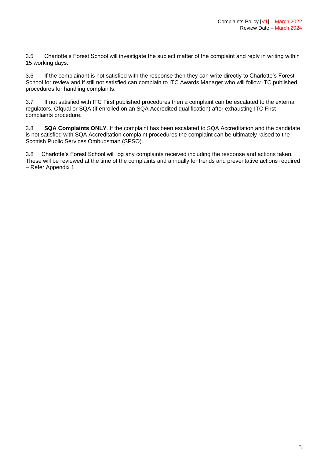3.5 Charlotte's Forest School will investigate the subject matter of the complaint and reply in writing within 15 working days.

3.6 If the complainant is not satisfied with the response then they can write directly to Charlotte's Forest School for review and if still not satisfied can complain to ITC Awards Manager who will follow ITC published procedures for handling complaints.

3.7 If not satisfied with ITC First published procedures then a complaint can be escalated to the external regulators, Ofqual or SQA (if enrolled on an SQA Accredited qualification) after exhausting ITC First complaints procedure.

3.8 **SQA Complaints ONLY**. If the complaint has been escalated to SQA Accreditation and the candidate is not satisfied with SQA Accreditation complaint procedures the complaint can be ultimately raised to the Scottish Public Services Ombudsman (SPSO).

3.8 Charlotte's Forest School will log any complaints received including the response and actions taken. These will be reviewed at the time of the complaints and annually for trends and preventative actions required – Refer Appendix 1.